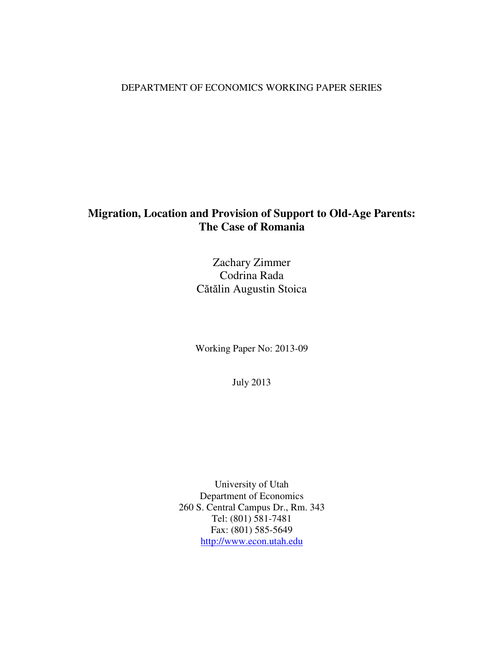# DEPARTMENT OF ECONOMICS WORKING PAPER SERIES

# **Migration, Location and Provision of Support to Old-Age Parents: The Case of Romania**

Zachary Zimmer Codrina Rada Cătălin Augustin Stoica

Working Paper No: 2013-09

July 2013

University of Utah Department of Economics 260 S. Central Campus Dr., Rm. 343 Tel: (801) 581-7481 Fax: (801) 585-5649 http://www.econ.utah.edu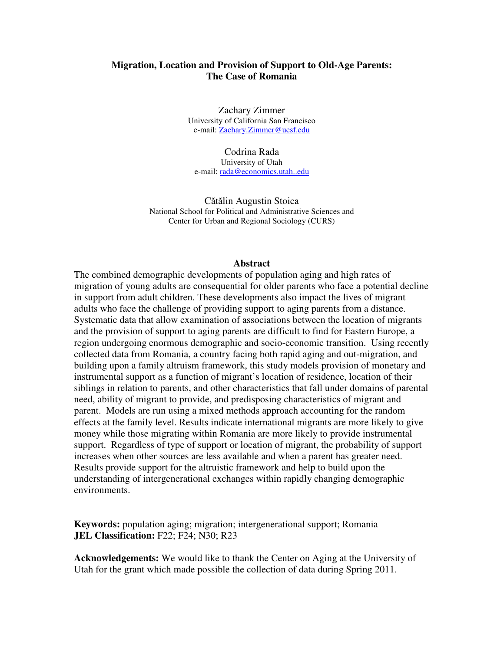# **Migration, Location and Provision of Support to Old-Age Parents: The Case of Romania**

Zachary Zimmer University of California San Francisco e-mail: Zachary.Zimmer@ucsf.edu

Codrina Rada University of Utah e-mail: rada@economics.utah..edu

Cătălin Augustin Stoica National School for Political and Administrative Sciences and Center for Urban and Regional Sociology (CURS)

## **Abstract**

The combined demographic developments of population aging and high rates of migration of young adults are consequential for older parents who face a potential decline in support from adult children. These developments also impact the lives of migrant adults who face the challenge of providing support to aging parents from a distance. Systematic data that allow examination of associations between the location of migrants and the provision of support to aging parents are difficult to find for Eastern Europe, a region undergoing enormous demographic and socio-economic transition. Using recently collected data from Romania, a country facing both rapid aging and out-migration, and building upon a family altruism framework, this study models provision of monetary and instrumental support as a function of migrant's location of residence, location of their siblings in relation to parents, and other characteristics that fall under domains of parental need, ability of migrant to provide, and predisposing characteristics of migrant and parent. Models are run using a mixed methods approach accounting for the random effects at the family level. Results indicate international migrants are more likely to give money while those migrating within Romania are more likely to provide instrumental support. Regardless of type of support or location of migrant, the probability of support increases when other sources are less available and when a parent has greater need. Results provide support for the altruistic framework and help to build upon the understanding of intergenerational exchanges within rapidly changing demographic environments.

**Keywords:** population aging; migration; intergenerational support; Romania **JEL Classification:** F22; F24; N30; R23

**Acknowledgements:** We would like to thank the Center on Aging at the University of Utah for the grant which made possible the collection of data during Spring 2011.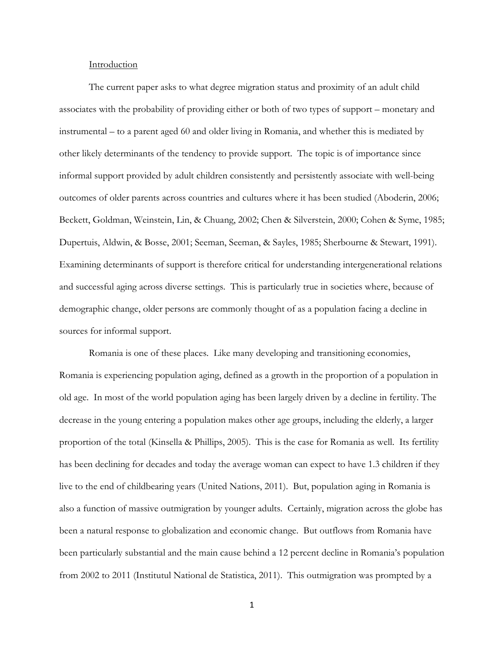## Introduction

 The current paper asks to what degree migration status and proximity of an adult child associates with the probability of providing either or both of two types of support – monetary and instrumental – to a parent aged 60 and older living in Romania, and whether this is mediated by other likely determinants of the tendency to provide support. The topic is of importance since informal support provided by adult children consistently and persistently associate with well-being outcomes of older parents across countries and cultures where it has been studied (Aboderin, 2006; Beckett, Goldman, Weinstein, Lin, & Chuang, 2002; Chen & Silverstein, 2000; Cohen & Syme, 1985; Dupertuis, Aldwin, & Bosse, 2001; Seeman, Seeman, & Sayles, 1985; Sherbourne & Stewart, 1991). Examining determinants of support is therefore critical for understanding intergenerational relations and successful aging across diverse settings. This is particularly true in societies where, because of demographic change, older persons are commonly thought of as a population facing a decline in sources for informal support.

 Romania is one of these places. Like many developing and transitioning economies, Romania is experiencing population aging, defined as a growth in the proportion of a population in old age. In most of the world population aging has been largely driven by a decline in fertility. The decrease in the young entering a population makes other age groups, including the elderly, a larger proportion of the total (Kinsella & Phillips, 2005). This is the case for Romania as well. Its fertility has been declining for decades and today the average woman can expect to have 1.3 children if they live to the end of childbearing years (United Nations, 2011). But, population aging in Romania is also a function of massive outmigration by younger adults. Certainly, migration across the globe has been a natural response to globalization and economic change. But outflows from Romania have been particularly substantial and the main cause behind a 12 percent decline in Romania's population from 2002 to 2011 (Institutul National de Statistica, 2011). This outmigration was prompted by a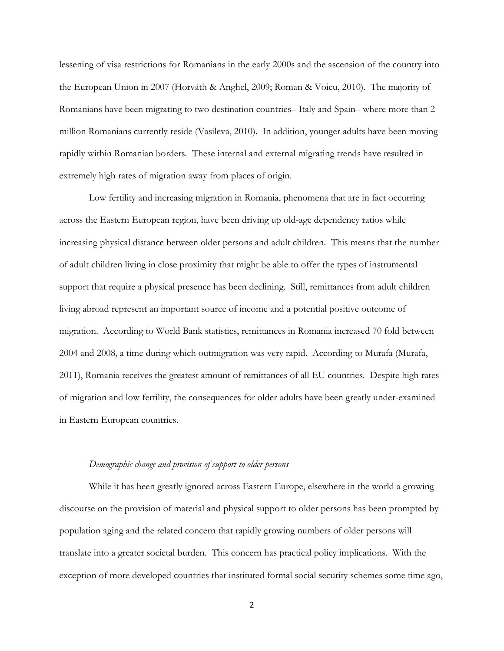lessening of visa restrictions for Romanians in the early 2000s and the ascension of the country into the European Union in 2007 (Horváth & Anghel, 2009; Roman & Voicu, 2010). The majority of Romanians have been migrating to two destination countries– Italy and Spain– where more than 2 million Romanians currently reside (Vasileva, 2010). In addition, younger adults have been moving rapidly within Romanian borders. These internal and external migrating trends have resulted in extremely high rates of migration away from places of origin.

 Low fertility and increasing migration in Romania, phenomena that are in fact occurring across the Eastern European region, have been driving up old-age dependency ratios while increasing physical distance between older persons and adult children. This means that the number of adult children living in close proximity that might be able to offer the types of instrumental support that require a physical presence has been declining. Still, remittances from adult children living abroad represent an important source of income and a potential positive outcome of migration. According to World Bank statistics, remittances in Romania increased 70 fold between 2004 and 2008, a time during which outmigration was very rapid. According to Murafa (Murafa, 2011), Romania receives the greatest amount of remittances of all EU countries. Despite high rates of migration and low fertility, the consequences for older adults have been greatly under-examined in Eastern European countries.

#### Demographic change and provision of support to older persons

 While it has been greatly ignored across Eastern Europe, elsewhere in the world a growing discourse on the provision of material and physical support to older persons has been prompted by population aging and the related concern that rapidly growing numbers of older persons will translate into a greater societal burden. This concern has practical policy implications. With the exception of more developed countries that instituted formal social security schemes some time ago,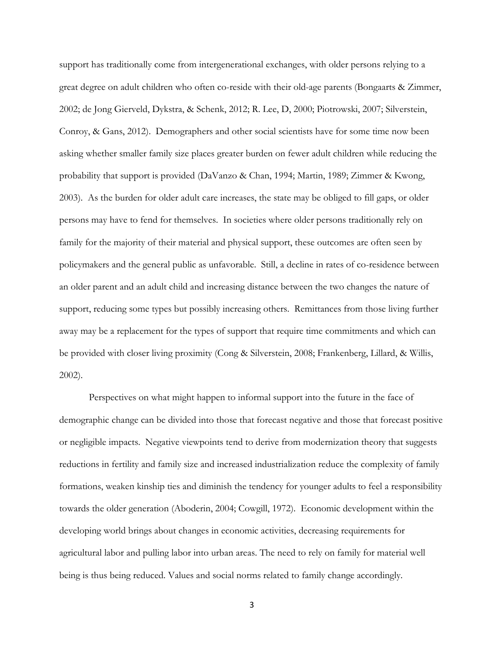support has traditionally come from intergenerational exchanges, with older persons relying to a great degree on adult children who often co-reside with their old-age parents (Bongaarts & Zimmer, 2002; de Jong Gierveld, Dykstra, & Schenk, 2012; R. Lee, D, 2000; Piotrowski, 2007; Silverstein, Conroy, & Gans, 2012). Demographers and other social scientists have for some time now been asking whether smaller family size places greater burden on fewer adult children while reducing the probability that support is provided (DaVanzo & Chan, 1994; Martin, 1989; Zimmer & Kwong, 2003). As the burden for older adult care increases, the state may be obliged to fill gaps, or older persons may have to fend for themselves. In societies where older persons traditionally rely on family for the majority of their material and physical support, these outcomes are often seen by policymakers and the general public as unfavorable. Still, a decline in rates of co-residence between an older parent and an adult child and increasing distance between the two changes the nature of support, reducing some types but possibly increasing others. Remittances from those living further away may be a replacement for the types of support that require time commitments and which can be provided with closer living proximity (Cong & Silverstein, 2008; Frankenberg, Lillard, & Willis, 2002).

 Perspectives on what might happen to informal support into the future in the face of demographic change can be divided into those that forecast negative and those that forecast positive or negligible impacts. Negative viewpoints tend to derive from modernization theory that suggests reductions in fertility and family size and increased industrialization reduce the complexity of family formations, weaken kinship ties and diminish the tendency for younger adults to feel a responsibility towards the older generation (Aboderin, 2004; Cowgill, 1972). Economic development within the developing world brings about changes in economic activities, decreasing requirements for agricultural labor and pulling labor into urban areas. The need to rely on family for material well being is thus being reduced. Values and social norms related to family change accordingly.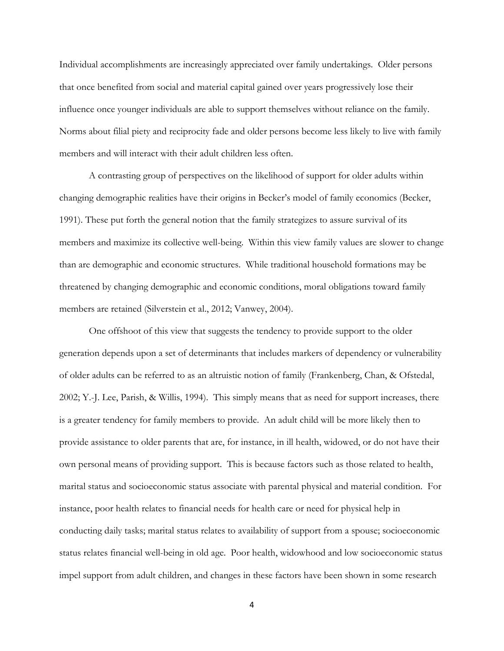Individual accomplishments are increasingly appreciated over family undertakings. Older persons that once benefited from social and material capital gained over years progressively lose their influence once younger individuals are able to support themselves without reliance on the family. Norms about filial piety and reciprocity fade and older persons become less likely to live with family members and will interact with their adult children less often.

 A contrasting group of perspectives on the likelihood of support for older adults within changing demographic realities have their origins in Becker's model of family economics (Becker, 1991). These put forth the general notion that the family strategizes to assure survival of its members and maximize its collective well-being. Within this view family values are slower to change than are demographic and economic structures. While traditional household formations may be threatened by changing demographic and economic conditions, moral obligations toward family members are retained (Silverstein et al., 2012; Vanwey, 2004).

One offshoot of this view that suggests the tendency to provide support to the older generation depends upon a set of determinants that includes markers of dependency or vulnerability of older adults can be referred to as an altruistic notion of family (Frankenberg, Chan, & Ofstedal, 2002; Y.-J. Lee, Parish, & Willis, 1994). This simply means that as need for support increases, there is a greater tendency for family members to provide. An adult child will be more likely then to provide assistance to older parents that are, for instance, in ill health, widowed, or do not have their own personal means of providing support. This is because factors such as those related to health, marital status and socioeconomic status associate with parental physical and material condition. For instance, poor health relates to financial needs for health care or need for physical help in conducting daily tasks; marital status relates to availability of support from a spouse; socioeconomic status relates financial well-being in old age. Poor health, widowhood and low socioeconomic status impel support from adult children, and changes in these factors have been shown in some research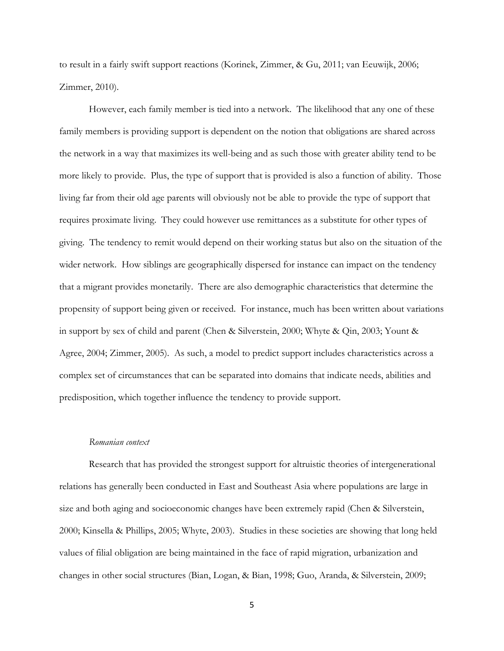to result in a fairly swift support reactions (Korinek, Zimmer, & Gu, 2011; van Eeuwijk, 2006; Zimmer, 2010).

However, each family member is tied into a network. The likelihood that any one of these family members is providing support is dependent on the notion that obligations are shared across the network in a way that maximizes its well-being and as such those with greater ability tend to be more likely to provide. Plus, the type of support that is provided is also a function of ability. Those living far from their old age parents will obviously not be able to provide the type of support that requires proximate living. They could however use remittances as a substitute for other types of giving. The tendency to remit would depend on their working status but also on the situation of the wider network. How siblings are geographically dispersed for instance can impact on the tendency that a migrant provides monetarily. There are also demographic characteristics that determine the propensity of support being given or received. For instance, much has been written about variations in support by sex of child and parent (Chen & Silverstein, 2000; Whyte & Qin, 2003; Yount & Agree, 2004; Zimmer, 2005). As such, a model to predict support includes characteristics across a complex set of circumstances that can be separated into domains that indicate needs, abilities and predisposition, which together influence the tendency to provide support.

#### Romanian context

 Research that has provided the strongest support for altruistic theories of intergenerational relations has generally been conducted in East and Southeast Asia where populations are large in size and both aging and socioeconomic changes have been extremely rapid (Chen & Silverstein, 2000; Kinsella & Phillips, 2005; Whyte, 2003). Studies in these societies are showing that long held values of filial obligation are being maintained in the face of rapid migration, urbanization and changes in other social structures (Bian, Logan, & Bian, 1998; Guo, Aranda, & Silverstein, 2009;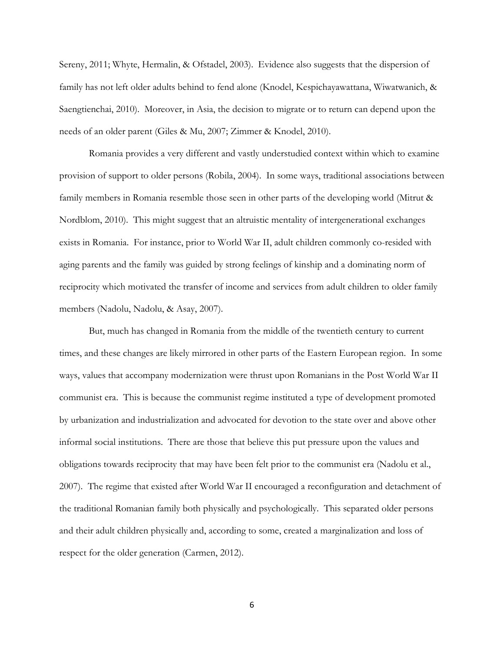Sereny, 2011; Whyte, Hermalin, & Ofstadel, 2003). Evidence also suggests that the dispersion of family has not left older adults behind to fend alone (Knodel, Kespichayawattana, Wiwatwanich, & Saengtienchai, 2010). Moreover, in Asia, the decision to migrate or to return can depend upon the needs of an older parent (Giles & Mu, 2007; Zimmer & Knodel, 2010).

Romania provides a very different and vastly understudied context within which to examine provision of support to older persons (Robila, 2004). In some ways, traditional associations between family members in Romania resemble those seen in other parts of the developing world (Mitrut & Nordblom, 2010). This might suggest that an altruistic mentality of intergenerational exchanges exists in Romania. For instance, prior to World War II, adult children commonly co-resided with aging parents and the family was guided by strong feelings of kinship and a dominating norm of reciprocity which motivated the transfer of income and services from adult children to older family members (Nadolu, Nadolu, & Asay, 2007).

 But, much has changed in Romania from the middle of the twentieth century to current times, and these changes are likely mirrored in other parts of the Eastern European region. In some ways, values that accompany modernization were thrust upon Romanians in the Post World War II communist era. This is because the communist regime instituted a type of development promoted by urbanization and industrialization and advocated for devotion to the state over and above other informal social institutions. There are those that believe this put pressure upon the values and obligations towards reciprocity that may have been felt prior to the communist era (Nadolu et al., 2007). The regime that existed after World War II encouraged a reconfiguration and detachment of the traditional Romanian family both physically and psychologically. This separated older persons and their adult children physically and, according to some, created a marginalization and loss of respect for the older generation (Carmen, 2012).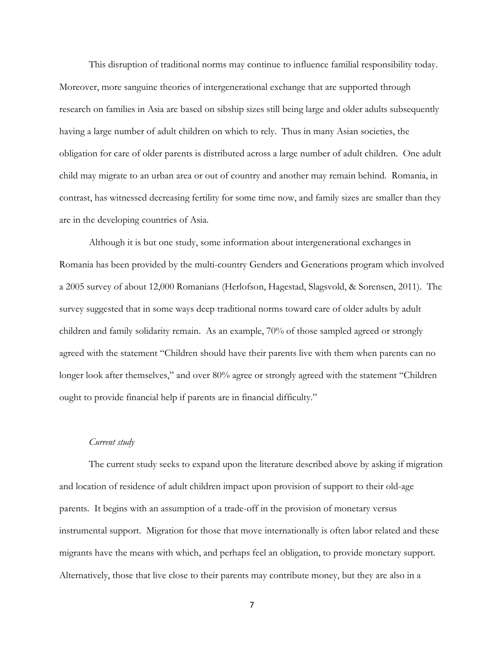This disruption of traditional norms may continue to influence familial responsibility today. Moreover, more sanguine theories of intergenerational exchange that are supported through research on families in Asia are based on sibship sizes still being large and older adults subsequently having a large number of adult children on which to rely. Thus in many Asian societies, the obligation for care of older parents is distributed across a large number of adult children. One adult child may migrate to an urban area or out of country and another may remain behind. Romania, in contrast, has witnessed decreasing fertility for some time now, and family sizes are smaller than they are in the developing countries of Asia.

 Although it is but one study, some information about intergenerational exchanges in Romania has been provided by the multi-country Genders and Generations program which involved a 2005 survey of about 12,000 Romanians (Herlofson, Hagestad, Slagsvold, & Sorensen, 2011). The survey suggested that in some ways deep traditional norms toward care of older adults by adult children and family solidarity remain. As an example, 70% of those sampled agreed or strongly agreed with the statement "Children should have their parents live with them when parents can no longer look after themselves," and over 80% agree or strongly agreed with the statement "Children ought to provide financial help if parents are in financial difficulty."

## Current study

 The current study seeks to expand upon the literature described above by asking if migration and location of residence of adult children impact upon provision of support to their old-age parents. It begins with an assumption of a trade-off in the provision of monetary versus instrumental support. Migration for those that move internationally is often labor related and these migrants have the means with which, and perhaps feel an obligation, to provide monetary support. Alternatively, those that live close to their parents may contribute money, but they are also in a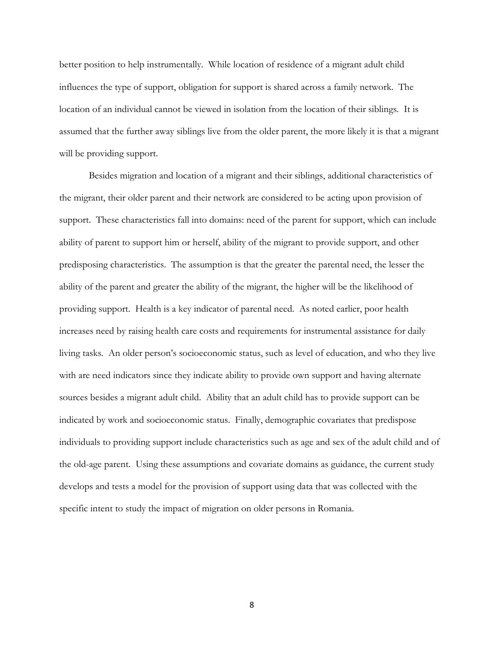better position to help instrumentally. While location of residence of a migrant adult child influences the type of support, obligation for support is shared across a family network. The location of an individual cannot be viewed in isolation from the location of their siblings. It is assumed that the further away siblings live from the older parent, the more likely it is that a migrant will be providing support.

 Besides migration and location of a migrant and their siblings, additional characteristics of the migrant, their older parent and their network are considered to be acting upon provision of support. These characteristics fall into domains: need of the parent for support, which can include ability of parent to support him or herself, ability of the migrant to provide support, and other predisposing characteristics. The assumption is that the greater the parental need, the lesser the ability of the parent and greater the ability of the migrant, the higher will be the likelihood of providing support. Health is a key indicator of parental need. As noted earlier, poor health increases need by raising health care costs and requirements for instrumental assistance for daily living tasks. An older person's socioeconomic status, such as level of education, and who they live with are need indicators since they indicate ability to provide own support and having alternate sources besides a migrant adult child. Ability that an adult child has to provide support can be indicated by work and socioeconomic status. Finally, demographic covariates that predispose individuals to providing support include characteristics such as age and sex of the adult child and of the old-age parent. Using these assumptions and covariate domains as guidance, the current study develops and tests a model for the provision of support using data that was collected with the specific intent to study the impact of migration on older persons in Romania.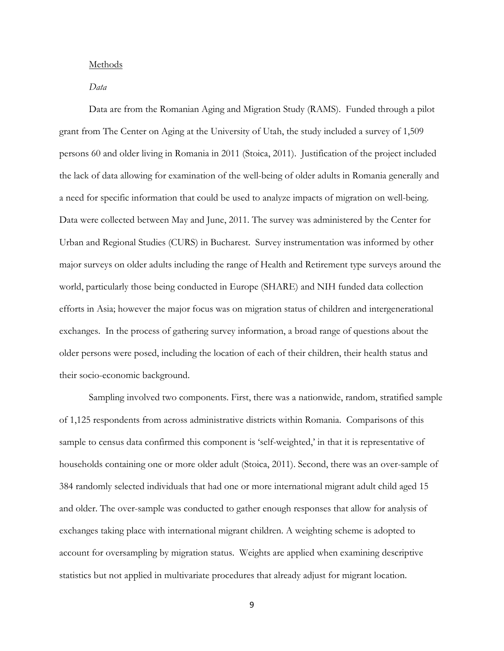#### Methods

## Data

 Data are from the Romanian Aging and Migration Study (RAMS). Funded through a pilot grant from The Center on Aging at the University of Utah, the study included a survey of 1,509 persons 60 and older living in Romania in 2011 (Stoica, 2011). Justification of the project included the lack of data allowing for examination of the well-being of older adults in Romania generally and a need for specific information that could be used to analyze impacts of migration on well-being. Data were collected between May and June, 2011. The survey was administered by the Center for Urban and Regional Studies (CURS) in Bucharest. Survey instrumentation was informed by other major surveys on older adults including the range of Health and Retirement type surveys around the world, particularly those being conducted in Europe (SHARE) and NIH funded data collection efforts in Asia; however the major focus was on migration status of children and intergenerational exchanges. In the process of gathering survey information, a broad range of questions about the older persons were posed, including the location of each of their children, their health status and their socio-economic background.

Sampling involved two components. First, there was a nationwide, random, stratified sample of 1,125 respondents from across administrative districts within Romania. Comparisons of this sample to census data confirmed this component is 'self-weighted,' in that it is representative of households containing one or more older adult (Stoica, 2011). Second, there was an over-sample of 384 randomly selected individuals that had one or more international migrant adult child aged 15 and older. The over-sample was conducted to gather enough responses that allow for analysis of exchanges taking place with international migrant children. A weighting scheme is adopted to account for oversampling by migration status. Weights are applied when examining descriptive statistics but not applied in multivariate procedures that already adjust for migrant location.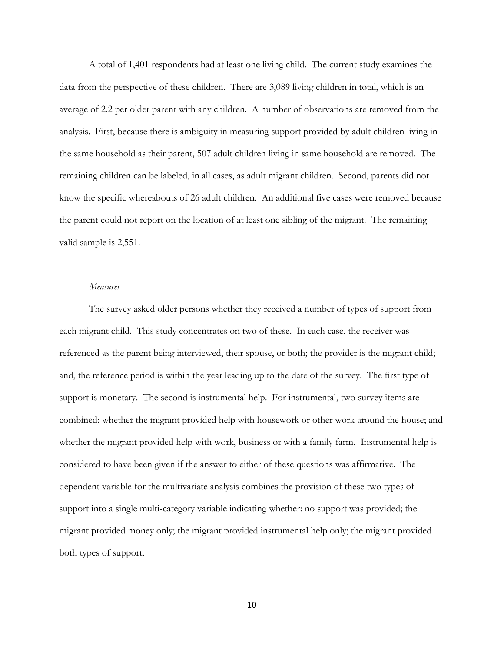A total of 1,401 respondents had at least one living child. The current study examines the data from the perspective of these children. There are 3,089 living children in total, which is an average of 2.2 per older parent with any children. A number of observations are removed from the analysis. First, because there is ambiguity in measuring support provided by adult children living in the same household as their parent, 507 adult children living in same household are removed. The remaining children can be labeled, in all cases, as adult migrant children. Second, parents did not know the specific whereabouts of 26 adult children. An additional five cases were removed because the parent could not report on the location of at least one sibling of the migrant. The remaining valid sample is 2,551.

## Measures

 The survey asked older persons whether they received a number of types of support from each migrant child. This study concentrates on two of these. In each case, the receiver was referenced as the parent being interviewed, their spouse, or both; the provider is the migrant child; and, the reference period is within the year leading up to the date of the survey. The first type of support is monetary. The second is instrumental help. For instrumental, two survey items are combined: whether the migrant provided help with housework or other work around the house; and whether the migrant provided help with work, business or with a family farm. Instrumental help is considered to have been given if the answer to either of these questions was affirmative. The dependent variable for the multivariate analysis combines the provision of these two types of support into a single multi-category variable indicating whether: no support was provided; the migrant provided money only; the migrant provided instrumental help only; the migrant provided both types of support.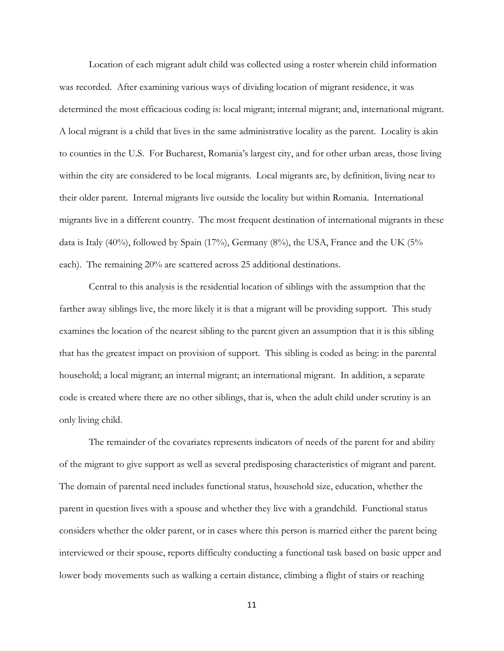Location of each migrant adult child was collected using a roster wherein child information was recorded. After examining various ways of dividing location of migrant residence, it was determined the most efficacious coding is: local migrant; internal migrant; and, international migrant. A local migrant is a child that lives in the same administrative locality as the parent. Locality is akin to counties in the U.S. For Bucharest, Romania's largest city, and for other urban areas, those living within the city are considered to be local migrants. Local migrants are, by definition, living near to their older parent. Internal migrants live outside the locality but within Romania. International migrants live in a different country. The most frequent destination of international migrants in these data is Italy  $(40\%)$ , followed by Spain  $(17\%)$ , Germany  $(8\%)$ , the USA, France and the UK  $(5\%$ each). The remaining 20% are scattered across 25 additional destinations.

 Central to this analysis is the residential location of siblings with the assumption that the farther away siblings live, the more likely it is that a migrant will be providing support. This study examines the location of the nearest sibling to the parent given an assumption that it is this sibling that has the greatest impact on provision of support. This sibling is coded as being: in the parental household; a local migrant; an internal migrant; an international migrant. In addition, a separate code is created where there are no other siblings, that is, when the adult child under scrutiny is an only living child.

 The remainder of the covariates represents indicators of needs of the parent for and ability of the migrant to give support as well as several predisposing characteristics of migrant and parent. The domain of parental need includes functional status, household size, education, whether the parent in question lives with a spouse and whether they live with a grandchild. Functional status considers whether the older parent, or in cases where this person is married either the parent being interviewed or their spouse, reports difficulty conducting a functional task based on basic upper and lower body movements such as walking a certain distance, climbing a flight of stairs or reaching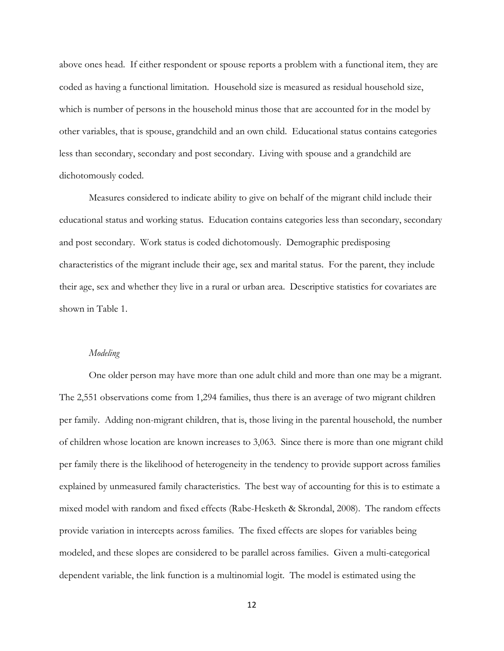above ones head. If either respondent or spouse reports a problem with a functional item, they are coded as having a functional limitation. Household size is measured as residual household size, which is number of persons in the household minus those that are accounted for in the model by other variables, that is spouse, grandchild and an own child. Educational status contains categories less than secondary, secondary and post secondary. Living with spouse and a grandchild are dichotomously coded.

 Measures considered to indicate ability to give on behalf of the migrant child include their educational status and working status. Education contains categories less than secondary, secondary and post secondary. Work status is coded dichotomously. Demographic predisposing characteristics of the migrant include their age, sex and marital status. For the parent, they include their age, sex and whether they live in a rural or urban area. Descriptive statistics for covariates are shown in Table 1.

## Modeling

 One older person may have more than one adult child and more than one may be a migrant. The 2,551 observations come from 1,294 families, thus there is an average of two migrant children per family. Adding non-migrant children, that is, those living in the parental household, the number of children whose location are known increases to 3,063. Since there is more than one migrant child per family there is the likelihood of heterogeneity in the tendency to provide support across families explained by unmeasured family characteristics. The best way of accounting for this is to estimate a mixed model with random and fixed effects (Rabe-Hesketh & Skrondal, 2008). The random effects provide variation in intercepts across families. The fixed effects are slopes for variables being modeled, and these slopes are considered to be parallel across families. Given a multi-categorical dependent variable, the link function is a multinomial logit. The model is estimated using the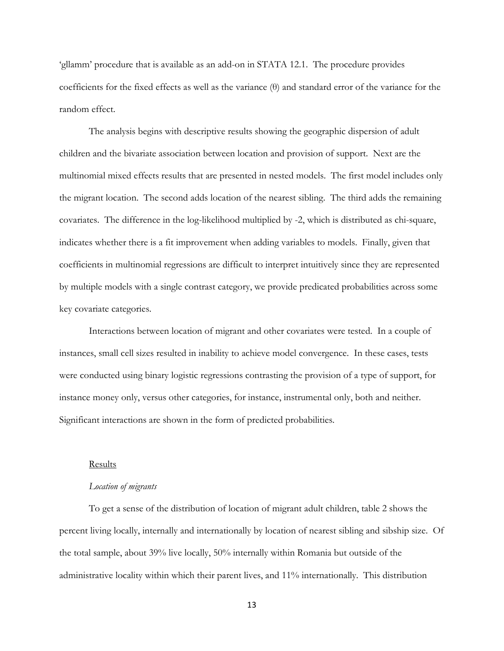'gllamm' procedure that is available as an add-on in STATA 12.1. The procedure provides coefficients for the fixed effects as well as the variance (θ) and standard error of the variance for the random effect.

 The analysis begins with descriptive results showing the geographic dispersion of adult children and the bivariate association between location and provision of support. Next are the multinomial mixed effects results that are presented in nested models. The first model includes only the migrant location. The second adds location of the nearest sibling. The third adds the remaining covariates. The difference in the log-likelihood multiplied by -2, which is distributed as chi-square, indicates whether there is a fit improvement when adding variables to models. Finally, given that coefficients in multinomial regressions are difficult to interpret intuitively since they are represented by multiple models with a single contrast category, we provide predicated probabilities across some key covariate categories.

 Interactions between location of migrant and other covariates were tested. In a couple of instances, small cell sizes resulted in inability to achieve model convergence. In these cases, tests were conducted using binary logistic regressions contrasting the provision of a type of support, for instance money only, versus other categories, for instance, instrumental only, both and neither. Significant interactions are shown in the form of predicted probabilities.

#### Results

## Location of migrants

To get a sense of the distribution of location of migrant adult children, table 2 shows the percent living locally, internally and internationally by location of nearest sibling and sibship size. Of the total sample, about 39% live locally, 50% internally within Romania but outside of the administrative locality within which their parent lives, and 11% internationally. This distribution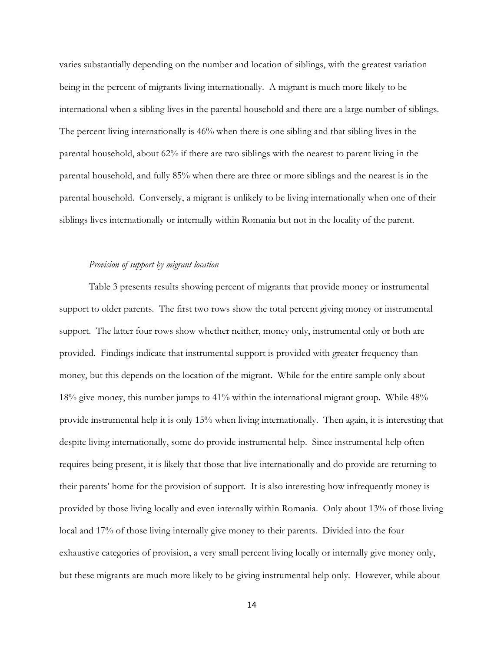varies substantially depending on the number and location of siblings, with the greatest variation being in the percent of migrants living internationally. A migrant is much more likely to be international when a sibling lives in the parental household and there are a large number of siblings. The percent living internationally is 46% when there is one sibling and that sibling lives in the parental household, about 62% if there are two siblings with the nearest to parent living in the parental household, and fully 85% when there are three or more siblings and the nearest is in the parental household. Conversely, a migrant is unlikely to be living internationally when one of their siblings lives internationally or internally within Romania but not in the locality of the parent.

#### Provision of support by migrant location

 Table 3 presents results showing percent of migrants that provide money or instrumental support to older parents. The first two rows show the total percent giving money or instrumental support. The latter four rows show whether neither, money only, instrumental only or both are provided. Findings indicate that instrumental support is provided with greater frequency than money, but this depends on the location of the migrant. While for the entire sample only about 18% give money, this number jumps to 41% within the international migrant group. While 48% provide instrumental help it is only 15% when living internationally. Then again, it is interesting that despite living internationally, some do provide instrumental help. Since instrumental help often requires being present, it is likely that those that live internationally and do provide are returning to their parents' home for the provision of support. It is also interesting how infrequently money is provided by those living locally and even internally within Romania. Only about 13% of those living local and 17% of those living internally give money to their parents. Divided into the four exhaustive categories of provision, a very small percent living locally or internally give money only, but these migrants are much more likely to be giving instrumental help only. However, while about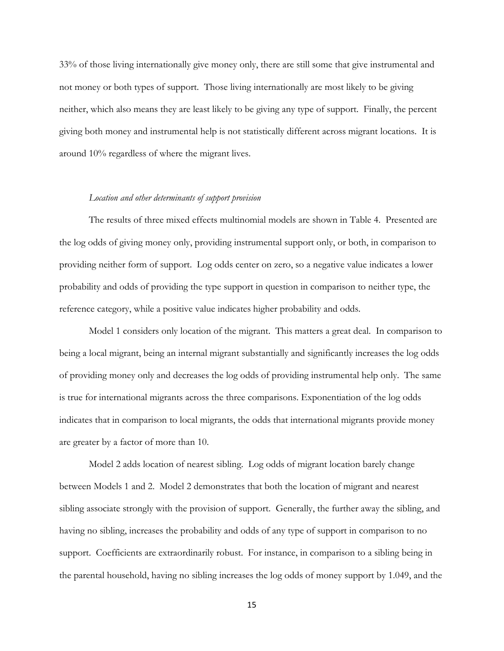33% of those living internationally give money only, there are still some that give instrumental and not money or both types of support. Those living internationally are most likely to be giving neither, which also means they are least likely to be giving any type of support. Finally, the percent giving both money and instrumental help is not statistically different across migrant locations. It is around 10% regardless of where the migrant lives.

## Location and other determinants of support provision

 The results of three mixed effects multinomial models are shown in Table 4. Presented are the log odds of giving money only, providing instrumental support only, or both, in comparison to providing neither form of support. Log odds center on zero, so a negative value indicates a lower probability and odds of providing the type support in question in comparison to neither type, the reference category, while a positive value indicates higher probability and odds.

 Model 1 considers only location of the migrant. This matters a great deal. In comparison to being a local migrant, being an internal migrant substantially and significantly increases the log odds of providing money only and decreases the log odds of providing instrumental help only. The same is true for international migrants across the three comparisons. Exponentiation of the log odds indicates that in comparison to local migrants, the odds that international migrants provide money are greater by a factor of more than 10.

 Model 2 adds location of nearest sibling. Log odds of migrant location barely change between Models 1 and 2. Model 2 demonstrates that both the location of migrant and nearest sibling associate strongly with the provision of support. Generally, the further away the sibling, and having no sibling, increases the probability and odds of any type of support in comparison to no support. Coefficients are extraordinarily robust. For instance, in comparison to a sibling being in the parental household, having no sibling increases the log odds of money support by 1.049, and the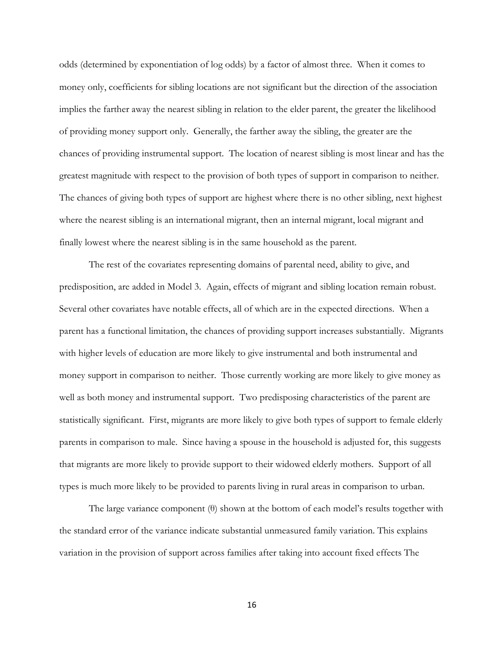odds (determined by exponentiation of log odds) by a factor of almost three. When it comes to money only, coefficients for sibling locations are not significant but the direction of the association implies the farther away the nearest sibling in relation to the elder parent, the greater the likelihood of providing money support only. Generally, the farther away the sibling, the greater are the chances of providing instrumental support. The location of nearest sibling is most linear and has the greatest magnitude with respect to the provision of both types of support in comparison to neither. The chances of giving both types of support are highest where there is no other sibling, next highest where the nearest sibling is an international migrant, then an internal migrant, local migrant and finally lowest where the nearest sibling is in the same household as the parent.

 The rest of the covariates representing domains of parental need, ability to give, and predisposition, are added in Model 3. Again, effects of migrant and sibling location remain robust. Several other covariates have notable effects, all of which are in the expected directions. When a parent has a functional limitation, the chances of providing support increases substantially. Migrants with higher levels of education are more likely to give instrumental and both instrumental and money support in comparison to neither. Those currently working are more likely to give money as well as both money and instrumental support. Two predisposing characteristics of the parent are statistically significant. First, migrants are more likely to give both types of support to female elderly parents in comparison to male. Since having a spouse in the household is adjusted for, this suggests that migrants are more likely to provide support to their widowed elderly mothers. Support of all types is much more likely to be provided to parents living in rural areas in comparison to urban.

 The large variance component (θ) shown at the bottom of each model's results together with the standard error of the variance indicate substantial unmeasured family variation. This explains variation in the provision of support across families after taking into account fixed effects The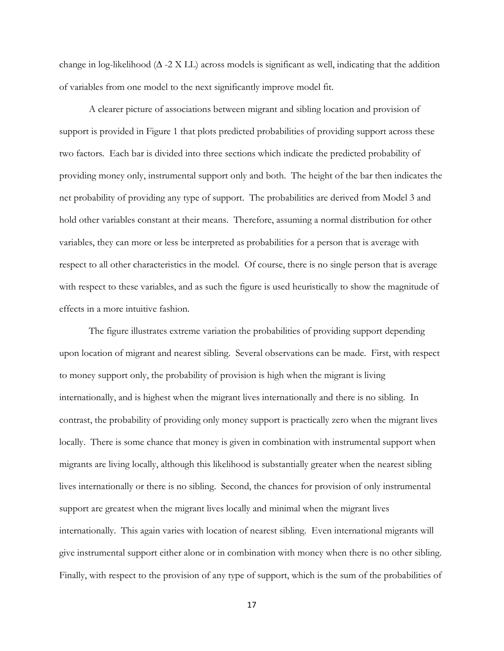change in log-likelihood ( $\Delta$  -2 X LL) across models is significant as well, indicating that the addition of variables from one model to the next significantly improve model fit.

 A clearer picture of associations between migrant and sibling location and provision of support is provided in Figure 1 that plots predicted probabilities of providing support across these two factors. Each bar is divided into three sections which indicate the predicted probability of providing money only, instrumental support only and both. The height of the bar then indicates the net probability of providing any type of support. The probabilities are derived from Model 3 and hold other variables constant at their means. Therefore, assuming a normal distribution for other variables, they can more or less be interpreted as probabilities for a person that is average with respect to all other characteristics in the model. Of course, there is no single person that is average with respect to these variables, and as such the figure is used heuristically to show the magnitude of effects in a more intuitive fashion.

 The figure illustrates extreme variation the probabilities of providing support depending upon location of migrant and nearest sibling. Several observations can be made. First, with respect to money support only, the probability of provision is high when the migrant is living internationally, and is highest when the migrant lives internationally and there is no sibling. In contrast, the probability of providing only money support is practically zero when the migrant lives locally. There is some chance that money is given in combination with instrumental support when migrants are living locally, although this likelihood is substantially greater when the nearest sibling lives internationally or there is no sibling. Second, the chances for provision of only instrumental support are greatest when the migrant lives locally and minimal when the migrant lives internationally. This again varies with location of nearest sibling. Even international migrants will give instrumental support either alone or in combination with money when there is no other sibling. Finally, with respect to the provision of any type of support, which is the sum of the probabilities of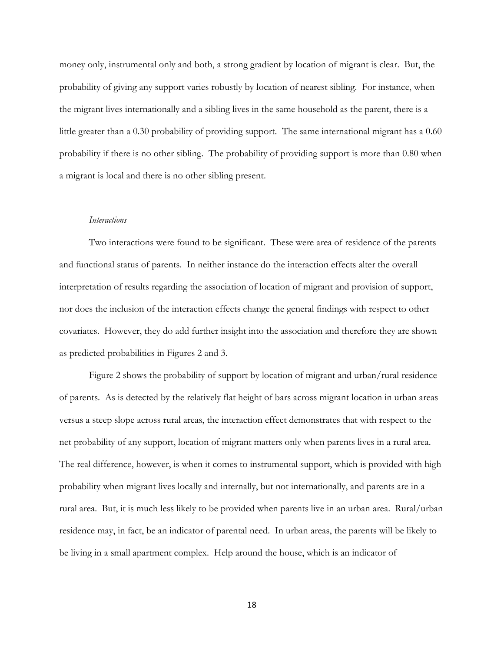money only, instrumental only and both, a strong gradient by location of migrant is clear. But, the probability of giving any support varies robustly by location of nearest sibling. For instance, when the migrant lives internationally and a sibling lives in the same household as the parent, there is a little greater than a 0.30 probability of providing support. The same international migrant has a 0.60 probability if there is no other sibling. The probability of providing support is more than 0.80 when a migrant is local and there is no other sibling present.

#### **Interactions**

 Two interactions were found to be significant. These were area of residence of the parents and functional status of parents. In neither instance do the interaction effects alter the overall interpretation of results regarding the association of location of migrant and provision of support, nor does the inclusion of the interaction effects change the general findings with respect to other covariates. However, they do add further insight into the association and therefore they are shown as predicted probabilities in Figures 2 and 3.

 Figure 2 shows the probability of support by location of migrant and urban/rural residence of parents. As is detected by the relatively flat height of bars across migrant location in urban areas versus a steep slope across rural areas, the interaction effect demonstrates that with respect to the net probability of any support, location of migrant matters only when parents lives in a rural area. The real difference, however, is when it comes to instrumental support, which is provided with high probability when migrant lives locally and internally, but not internationally, and parents are in a rural area. But, it is much less likely to be provided when parents live in an urban area. Rural/urban residence may, in fact, be an indicator of parental need. In urban areas, the parents will be likely to be living in a small apartment complex. Help around the house, which is an indicator of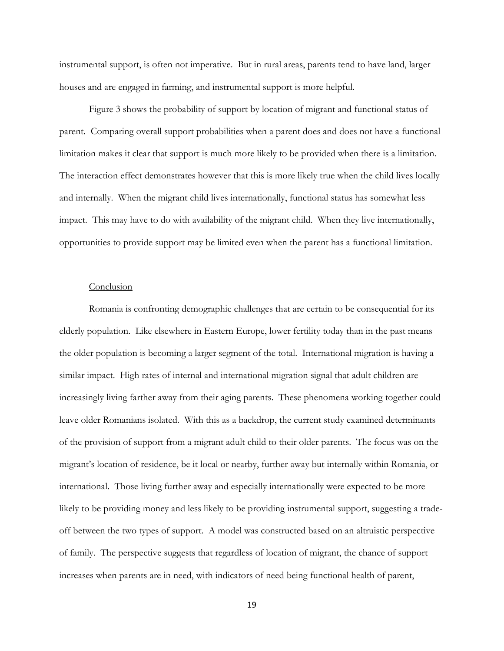instrumental support, is often not imperative. But in rural areas, parents tend to have land, larger houses and are engaged in farming, and instrumental support is more helpful.

 Figure 3 shows the probability of support by location of migrant and functional status of parent. Comparing overall support probabilities when a parent does and does not have a functional limitation makes it clear that support is much more likely to be provided when there is a limitation. The interaction effect demonstrates however that this is more likely true when the child lives locally and internally. When the migrant child lives internationally, functional status has somewhat less impact. This may have to do with availability of the migrant child. When they live internationally, opportunities to provide support may be limited even when the parent has a functional limitation.

#### Conclusion

Romania is confronting demographic challenges that are certain to be consequential for its elderly population. Like elsewhere in Eastern Europe, lower fertility today than in the past means the older population is becoming a larger segment of the total. International migration is having a similar impact. High rates of internal and international migration signal that adult children are increasingly living farther away from their aging parents. These phenomena working together could leave older Romanians isolated. With this as a backdrop, the current study examined determinants of the provision of support from a migrant adult child to their older parents. The focus was on the migrant's location of residence, be it local or nearby, further away but internally within Romania, or international. Those living further away and especially internationally were expected to be more likely to be providing money and less likely to be providing instrumental support, suggesting a tradeoff between the two types of support. A model was constructed based on an altruistic perspective of family. The perspective suggests that regardless of location of migrant, the chance of support increases when parents are in need, with indicators of need being functional health of parent,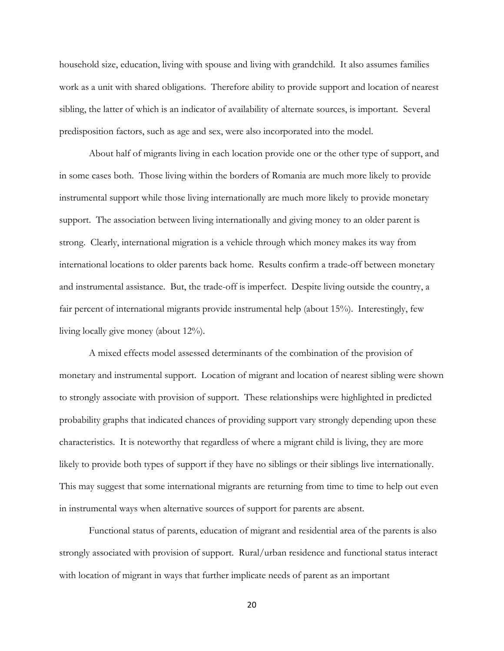household size, education, living with spouse and living with grandchild. It also assumes families work as a unit with shared obligations. Therefore ability to provide support and location of nearest sibling, the latter of which is an indicator of availability of alternate sources, is important. Several predisposition factors, such as age and sex, were also incorporated into the model.

 About half of migrants living in each location provide one or the other type of support, and in some cases both. Those living within the borders of Romania are much more likely to provide instrumental support while those living internationally are much more likely to provide monetary support. The association between living internationally and giving money to an older parent is strong. Clearly, international migration is a vehicle through which money makes its way from international locations to older parents back home. Results confirm a trade-off between monetary and instrumental assistance. But, the trade-off is imperfect. Despite living outside the country, a fair percent of international migrants provide instrumental help (about 15%). Interestingly, few living locally give money (about 12%).

 A mixed effects model assessed determinants of the combination of the provision of monetary and instrumental support. Location of migrant and location of nearest sibling were shown to strongly associate with provision of support. These relationships were highlighted in predicted probability graphs that indicated chances of providing support vary strongly depending upon these characteristics. It is noteworthy that regardless of where a migrant child is living, they are more likely to provide both types of support if they have no siblings or their siblings live internationally. This may suggest that some international migrants are returning from time to time to help out even in instrumental ways when alternative sources of support for parents are absent.

 Functional status of parents, education of migrant and residential area of the parents is also strongly associated with provision of support. Rural/urban residence and functional status interact with location of migrant in ways that further implicate needs of parent as an important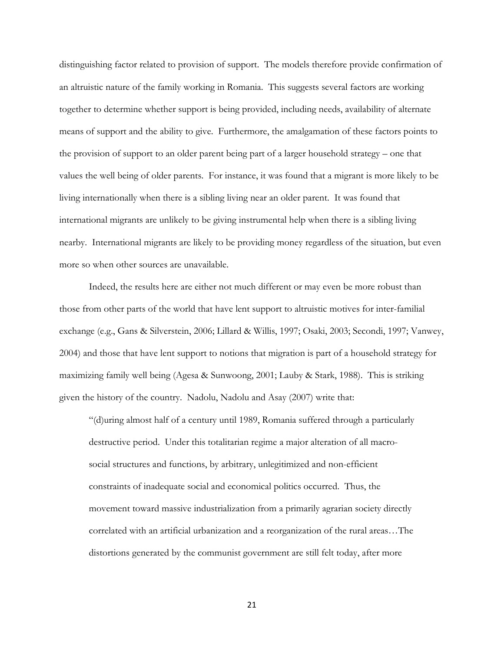distinguishing factor related to provision of support. The models therefore provide confirmation of an altruistic nature of the family working in Romania. This suggests several factors are working together to determine whether support is being provided, including needs, availability of alternate means of support and the ability to give. Furthermore, the amalgamation of these factors points to the provision of support to an older parent being part of a larger household strategy – one that values the well being of older parents. For instance, it was found that a migrant is more likely to be living internationally when there is a sibling living near an older parent. It was found that international migrants are unlikely to be giving instrumental help when there is a sibling living nearby. International migrants are likely to be providing money regardless of the situation, but even more so when other sources are unavailable.

 Indeed, the results here are either not much different or may even be more robust than those from other parts of the world that have lent support to altruistic motives for inter-familial exchange (e.g., Gans & Silverstein, 2006; Lillard & Willis, 1997; Osaki, 2003; Secondi, 1997; Vanwey, 2004) and those that have lent support to notions that migration is part of a household strategy for maximizing family well being (Agesa & Sunwoong, 2001; Lauby & Stark, 1988). This is striking given the history of the country. Nadolu, Nadolu and Asay (2007) write that:

"(d)uring almost half of a century until 1989, Romania suffered through a particularly destructive period. Under this totalitarian regime a major alteration of all macrosocial structures and functions, by arbitrary, unlegitimized and non-efficient constraints of inadequate social and economical politics occurred. Thus, the movement toward massive industrialization from a primarily agrarian society directly correlated with an artificial urbanization and a reorganization of the rural areas…The distortions generated by the communist government are still felt today, after more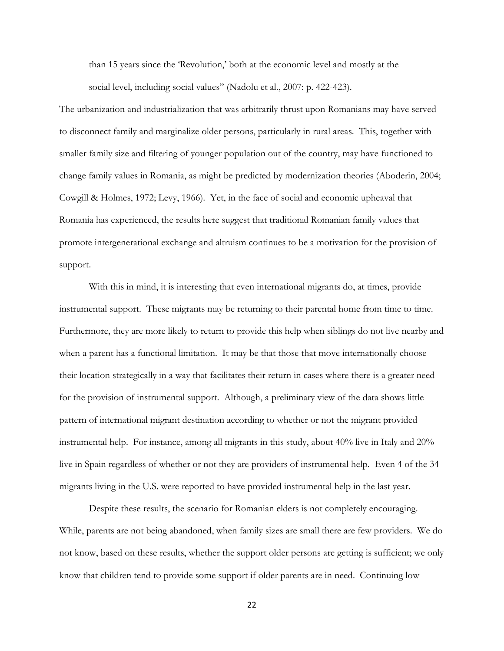than 15 years since the 'Revolution,' both at the economic level and mostly at the social level, including social values" (Nadolu et al., 2007: p. 422-423).

The urbanization and industrialization that was arbitrarily thrust upon Romanians may have served to disconnect family and marginalize older persons, particularly in rural areas. This, together with smaller family size and filtering of younger population out of the country, may have functioned to change family values in Romania, as might be predicted by modernization theories (Aboderin, 2004; Cowgill & Holmes, 1972; Levy, 1966). Yet, in the face of social and economic upheaval that Romania has experienced, the results here suggest that traditional Romanian family values that promote intergenerational exchange and altruism continues to be a motivation for the provision of support.

 With this in mind, it is interesting that even international migrants do, at times, provide instrumental support. These migrants may be returning to their parental home from time to time. Furthermore, they are more likely to return to provide this help when siblings do not live nearby and when a parent has a functional limitation. It may be that those that move internationally choose their location strategically in a way that facilitates their return in cases where there is a greater need for the provision of instrumental support. Although, a preliminary view of the data shows little pattern of international migrant destination according to whether or not the migrant provided instrumental help. For instance, among all migrants in this study, about 40% live in Italy and 20% live in Spain regardless of whether or not they are providers of instrumental help. Even 4 of the 34 migrants living in the U.S. were reported to have provided instrumental help in the last year.

 Despite these results, the scenario for Romanian elders is not completely encouraging. While, parents are not being abandoned, when family sizes are small there are few providers. We do not know, based on these results, whether the support older persons are getting is sufficient; we only know that children tend to provide some support if older parents are in need. Continuing low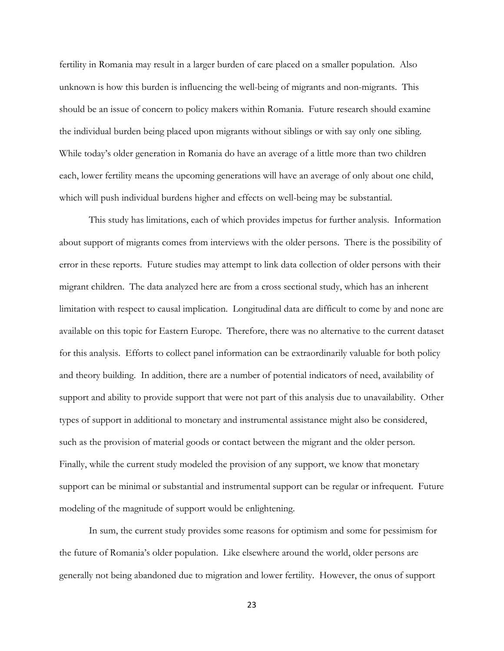fertility in Romania may result in a larger burden of care placed on a smaller population. Also unknown is how this burden is influencing the well-being of migrants and non-migrants. This should be an issue of concern to policy makers within Romania. Future research should examine the individual burden being placed upon migrants without siblings or with say only one sibling. While today's older generation in Romania do have an average of a little more than two children each, lower fertility means the upcoming generations will have an average of only about one child, which will push individual burdens higher and effects on well-being may be substantial.

 This study has limitations, each of which provides impetus for further analysis. Information about support of migrants comes from interviews with the older persons. There is the possibility of error in these reports. Future studies may attempt to link data collection of older persons with their migrant children. The data analyzed here are from a cross sectional study, which has an inherent limitation with respect to causal implication. Longitudinal data are difficult to come by and none are available on this topic for Eastern Europe. Therefore, there was no alternative to the current dataset for this analysis. Efforts to collect panel information can be extraordinarily valuable for both policy and theory building. In addition, there are a number of potential indicators of need, availability of support and ability to provide support that were not part of this analysis due to unavailability. Other types of support in additional to monetary and instrumental assistance might also be considered, such as the provision of material goods or contact between the migrant and the older person. Finally, while the current study modeled the provision of any support, we know that monetary support can be minimal or substantial and instrumental support can be regular or infrequent. Future modeling of the magnitude of support would be enlightening.

 In sum, the current study provides some reasons for optimism and some for pessimism for the future of Romania's older population. Like elsewhere around the world, older persons are generally not being abandoned due to migration and lower fertility. However, the onus of support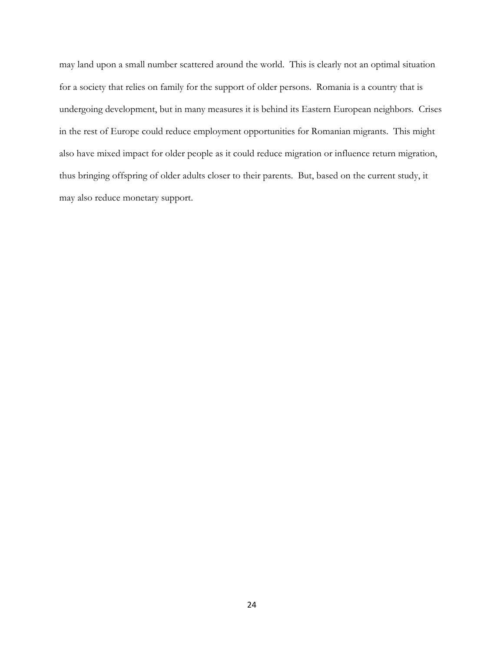may land upon a small number scattered around the world. This is clearly not an optimal situation for a society that relies on family for the support of older persons. Romania is a country that is undergoing development, but in many measures it is behind its Eastern European neighbors. Crises in the rest of Europe could reduce employment opportunities for Romanian migrants. This might also have mixed impact for older people as it could reduce migration or influence return migration, thus bringing offspring of older adults closer to their parents. But, based on the current study, it may also reduce monetary support.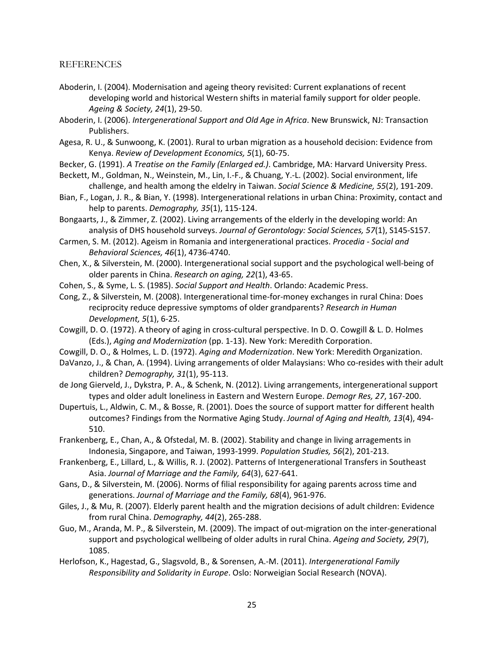## REFERENCES

- Aboderin, I. (2004). Modernisation and ageing theory revisited: Current explanations of recent developing world and historical Western shifts in material family support for older people. Ageing & Society, 24(1), 29-50.
- Aboderin, I. (2006). Intergenerational Support and Old Age in Africa. New Brunswick, NJ: Transaction Publishers.
- Agesa, R. U., & Sunwoong, K. (2001). Rural to urban migration as a household decision: Evidence from Kenya. Review of Development Economics, 5(1), 60-75.
- Becker, G. (1991). A Treatise on the Family (Enlarged ed.). Cambridge, MA: Harvard University Press.
- Beckett, M., Goldman, N., Weinstein, M., Lin, I.-F., & Chuang, Y.-L. (2002). Social environment, life challenge, and health among the eldelry in Taiwan. Social Science & Medicine, 55(2), 191-209.
- Bian, F., Logan, J. R., & Bian, Y. (1998). Intergenerational relations in urban China: Proximity, contact and help to parents. Demography, 35(1), 115-124.
- Bongaarts, J., & Zimmer, Z. (2002). Living arrangements of the elderly in the developing world: An analysis of DHS household surveys. Journal of Gerontology: Social Sciences, 57(1), S145-S157.
- Carmen, S. M. (2012). Ageism in Romania and intergenerational practices. Procedia Social and Behavioral Sciences, 46(1), 4736-4740.
- Chen, X., & Silverstein, M. (2000). Intergenerational social support and the psychological well-being of older parents in China. Research on aging, 22(1), 43-65.
- Cohen, S., & Syme, L. S. (1985). Social Support and Health. Orlando: Academic Press.
- Cong, Z., & Silverstein, M. (2008). Intergenerational time-for-money exchanges in rural China: Does reciprocity reduce depressive symptoms of older grandparents? Research in Human Development, 5(1), 6-25.
- Cowgill, D. O. (1972). A theory of aging in cross-cultural perspective. In D. O. Cowgill & L. D. Holmes (Eds.), Aging and Modernization (pp. 1-13). New York: Meredith Corporation.
- Cowgill, D. O., & Holmes, L. D. (1972). Aging and Modernization. New York: Meredith Organization.
- DaVanzo, J., & Chan, A. (1994). Living arrangements of older Malaysians: Who co-resides with their adult children? Demography, 31(1), 95-113.
- de Jong Gierveld, J., Dykstra, P. A., & Schenk, N. (2012). Living arrangements, intergenerational support types and older adult loneliness in Eastern and Western Europe. Demogr Res, 27, 167-200.
- Dupertuis, L., Aldwin, C. M., & Bosse, R. (2001). Does the source of support matter for different health outcomes? Findings from the Normative Aging Study. Journal of Aging and Health, 13(4), 494- 510.
- Frankenberg, E., Chan, A., & Ofstedal, M. B. (2002). Stability and change in living arragements in Indonesia, Singapore, and Taiwan, 1993-1999. Population Studies, 56(2), 201-213.
- Frankenberg, E., Lillard, L., & Willis, R. J. (2002). Patterns of Intergenerational Transfers in Southeast Asia. Journal of Marriage and the Family, 64(3), 627-641.
- Gans, D., & Silverstein, M. (2006). Norms of filial responsibility for againg parents across time and generations. Journal of Marriage and the Family, 68(4), 961-976.
- Giles, J., & Mu, R. (2007). Elderly parent health and the migration decisions of adult children: Evidence from rural China. Demography, 44(2), 265-288.
- Guo, M., Aranda, M. P., & Silverstein, M. (2009). The impact of out-migration on the inter-generational support and psychological wellbeing of older adults in rural China. Ageing and Society, 29(7), 1085.
- Herlofson, K., Hagestad, G., Slagsvold, B., & Sorensen, A.-M. (2011). Intergenerational Family Responsibility and Solidarity in Europe. Oslo: Norweigian Social Research (NOVA).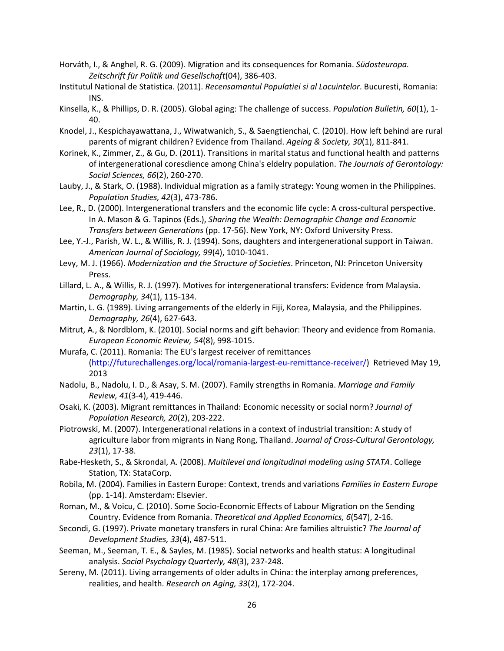- Horváth, I., & Anghel, R. G. (2009). Migration and its consequences for Romania. Südosteuropa. Zeitschrift für Politik und Gesellschaft(04), 386-403.
- Institutul National de Statistica. (2011). Recensamantul Populatiei si al Locuintelor. Bucuresti, Romania: INS.
- Kinsella, K., & Phillips, D. R. (2005). Global aging: The challenge of success. Population Bulletin, 60(1), 1-40.
- Knodel, J., Kespichayawattana, J., Wiwatwanich, S., & Saengtienchai, C. (2010). How left behind are rural parents of migrant children? Evidence from Thailand. Ageing & Society, 30(1), 811-841.
- Korinek, K., Zimmer, Z., & Gu, D. (2011). Transitions in marital status and functional health and patterns of intergenerational coresdience among China's eldelry population. The Journals of Gerontology: Social Sciences, 66(2), 260-270.
- Lauby, J., & Stark, O. (1988). Individual migration as a family strategy: Young women in the Philippines. Population Studies, 42(3), 473-786.
- Lee, R., D. (2000). Intergenerational transfers and the economic life cycle: A cross-cultural perspective. In A. Mason & G. Tapinos (Eds.), Sharing the Wealth: Demographic Change and Economic Transfers between Generations (pp. 17-56). New York, NY: Oxford University Press.
- Lee, Y.-J., Parish, W. L., & Willis, R. J. (1994). Sons, daughters and intergenerational support in Taiwan. American Journal of Sociology, 99(4), 1010-1041.
- Levy, M. J. (1966). Modernization and the Structure of Societies. Princeton, NJ: Princeton University Press.
- Lillard, L. A., & Willis, R. J. (1997). Motives for intergenerational transfers: Evidence from Malaysia. Demography, 34(1), 115-134.
- Martin, L. G. (1989). Living arrangements of the elderly in Fiji, Korea, Malaysia, and the Philippines. Demography, 26(4), 627-643.
- Mitrut, A., & Nordblom, K. (2010). Social norms and gift behavior: Theory and evidence from Romania. European Economic Review, 54(8), 998-1015.
- Murafa, C. (2011). Romania: The EU's largest receiver of remittances (http://futurechallenges.org/local/romania-largest-eu-remittance-receiver/) Retrieved May 19, 2013
- Nadolu, B., Nadolu, I. D., & Asay, S. M. (2007). Family strengths in Romania. Marriage and Family Review, 41(3-4), 419-446.
- Osaki, K. (2003). Migrant remittances in Thailand: Economic necessity or social norm? Journal of Population Research, 20(2), 203-222.
- Piotrowski, M. (2007). Intergenerational relations in a context of industrial transition: A study of agriculture labor from migrants in Nang Rong, Thailand. Journal of Cross-Cultural Gerontology, 23(1), 17-38.
- Rabe-Hesketh, S., & Skrondal, A. (2008). Multilevel and longitudinal modeling using STATA. College Station, TX: StataCorp.
- Robila, M. (2004). Families in Eastern Europe: Context, trends and variations Families in Eastern Europe (pp. 1-14). Amsterdam: Elsevier.
- Roman, M., & Voicu, C. (2010). Some Socio-Economic Effects of Labour Migration on the Sending Country. Evidence from Romania. Theoretical and Applied Economics, 6(547), 2-16.
- Secondi, G. (1997). Private monetary transfers in rural China: Are families altruistic? The Journal of Development Studies, 33(4), 487-511.
- Seeman, M., Seeman, T. E., & Sayles, M. (1985). Social networks and health status: A longitudinal analysis. Social Psychology Quarterly, 48(3), 237-248.
- Sereny, M. (2011). Living arrangements of older adults in China: the interplay among preferences, realities, and health. Research on Aging, 33(2), 172-204.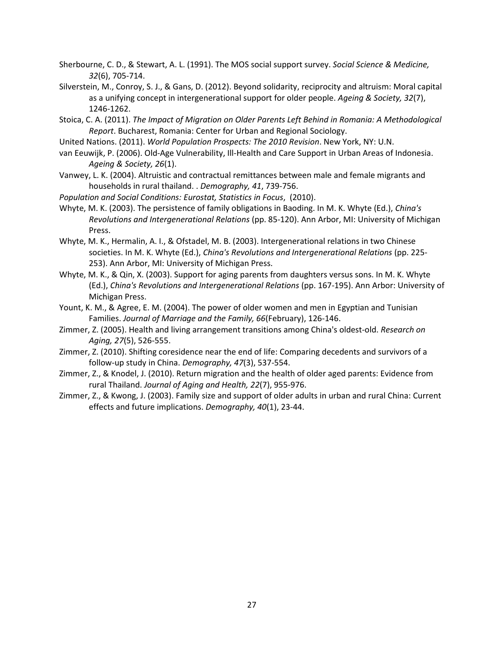- Sherbourne, C. D., & Stewart, A. L. (1991). The MOS social support survey. Social Science & Medicine, 32(6), 705-714.
- Silverstein, M., Conroy, S. J., & Gans, D. (2012). Beyond solidarity, reciprocity and altruism: Moral capital as a unifying concept in intergenerational support for older people. Ageing & Society, 32(7), 1246-1262.
- Stoica, C. A. (2011). The Impact of Migration on Older Parents Left Behind in Romania: A Methodological Report. Bucharest, Romania: Center for Urban and Regional Sociology.
- United Nations. (2011). World Population Prospects: The 2010 Revision. New York, NY: U.N.
- van Eeuwijk, P. (2006). Old-Age Vulnerability, Ill-Health and Care Support in Urban Areas of Indonesia. Ageing & Society, 26(1).
- Vanwey, L. K. (2004). Altruistic and contractual remittances between male and female migrants and households in rural thailand. . Demography, 41, 739-756.
- Population and Social Conditions: Eurostat, Statistics in Focus, (2010).
- Whyte, M. K. (2003). The persistence of family obligations in Baoding. In M. K. Whyte (Ed.), China's Revolutions and Intergenerational Relations (pp. 85-120). Ann Arbor, MI: University of Michigan Press.
- Whyte, M. K., Hermalin, A. I., & Ofstadel, M. B. (2003). Intergenerational relations in two Chinese societies. In M. K. Whyte (Ed.), China's Revolutions and Intergenerational Relations (pp. 225-253). Ann Arbor, MI: University of Michigan Press.
- Whyte, M. K., & Qin, X. (2003). Support for aging parents from daughters versus sons. In M. K. Whyte (Ed.), China's Revolutions and Intergenerational Relations (pp. 167-195). Ann Arbor: University of Michigan Press.
- Yount, K. M., & Agree, E. M. (2004). The power of older women and men in Egyptian and Tunisian Families. Journal of Marriage and the Family, 66(February), 126-146.
- Zimmer, Z. (2005). Health and living arrangement transitions among China's oldest-old. Research on Aging, 27(5), 526-555.
- Zimmer, Z. (2010). Shifting coresidence near the end of life: Comparing decedents and survivors of a follow-up study in China. Demography, 47(3), 537-554.
- Zimmer, Z., & Knodel, J. (2010). Return migration and the health of older aged parents: Evidence from rural Thailand. Journal of Aging and Health, 22(7), 955-976.
- Zimmer, Z., & Kwong, J. (2003). Family size and support of older adults in urban and rural China: Current effects and future implications. Demography, 40(1), 23-44.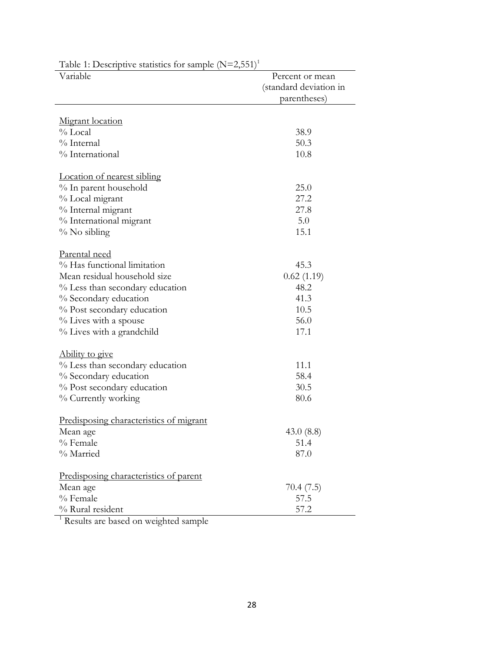| Variable                                       | Percent or mean        |
|------------------------------------------------|------------------------|
|                                                | (standard deviation in |
|                                                | parentheses)           |
|                                                |                        |
| Migrant location                               |                        |
| $\%$ Local                                     | 38.9                   |
| % Internal                                     | 50.3                   |
| % International                                | 10.8                   |
| Location of nearest sibling                    |                        |
| % In parent household                          | 25.0                   |
| % Local migrant                                | 27.2                   |
| % Internal migrant                             | 27.8                   |
|                                                | 5.0                    |
| % International migrant                        | 15.1                   |
| % No sibling                                   |                        |
| Parental need                                  |                        |
| % Has functional limitation                    | 45.3                   |
| Mean residual household size                   | 0.62(1.19)             |
| % Less than secondary education                | 48.2                   |
| % Secondary education                          | 41.3                   |
| % Post secondary education                     | 10.5                   |
| % Lives with a spouse                          | 56.0                   |
| % Lives with a grandchild                      | 17.1                   |
| Ability to give                                |                        |
| % Less than secondary education                | 11.1                   |
| % Secondary education                          | 58.4                   |
| % Post secondary education                     | 30.5                   |
| % Currently working                            | 80.6                   |
|                                                |                        |
| <u>Predisposing characteristics of migrant</u> |                        |
| Mean age                                       | 43.0 $(8.8)$           |
| % Female                                       | 51.4                   |
| % Married                                      | 87.0                   |
|                                                |                        |
| Predisposing characteristics of parent         |                        |
| Mean age<br>% Female                           | 70.4(7.5)              |
| % Rural resident                               | 57.5                   |
|                                                | 57.2                   |
| Results are based on weighted sample           |                        |

Table 1: Descriptive statistics for sample  $(N=2,551)^1$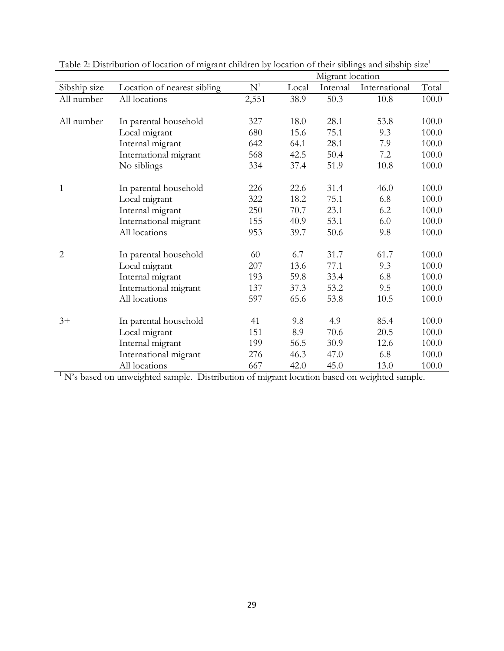|                                                                                            |                             | Migrant location |       |          |               |       |  |  |  |
|--------------------------------------------------------------------------------------------|-----------------------------|------------------|-------|----------|---------------|-------|--|--|--|
| Sibship size                                                                               | Location of nearest sibling | N <sup>1</sup>   | Local | Internal | International | Total |  |  |  |
| All number                                                                                 | All locations               | 2,551            | 38.9  | 50.3     | 10.8          | 100.0 |  |  |  |
|                                                                                            |                             |                  |       |          |               |       |  |  |  |
| All number                                                                                 | In parental household       | 327              | 18.0  | 28.1     | 53.8          | 100.0 |  |  |  |
|                                                                                            | Local migrant               | 680              | 15.6  | 75.1     | 9.3           | 100.0 |  |  |  |
|                                                                                            | Internal migrant            | 642              | 64.1  | 28.1     | 7.9           | 100.0 |  |  |  |
|                                                                                            | International migrant       | 568              | 42.5  | 50.4     | 7.2           | 100.0 |  |  |  |
|                                                                                            | No siblings                 | 334              | 37.4  | 51.9     | 10.8          | 100.0 |  |  |  |
|                                                                                            |                             |                  |       |          |               |       |  |  |  |
| $\mathbf{1}$                                                                               | In parental household       | 226              | 22.6  | 31.4     | 46.0          | 100.0 |  |  |  |
|                                                                                            | Local migrant               | 322              | 18.2  | 75.1     | 6.8           | 100.0 |  |  |  |
|                                                                                            | Internal migrant            | 250              | 70.7  | 23.1     | 6.2           | 100.0 |  |  |  |
|                                                                                            | International migrant       | 155              | 40.9  | 53.1     | 6.0           | 100.0 |  |  |  |
|                                                                                            | All locations               | 953              | 39.7  | 50.6     | 9.8           | 100.0 |  |  |  |
| $\overline{2}$                                                                             | In parental household       | 60               | 6.7   | 31.7     | 61.7          | 100.0 |  |  |  |
|                                                                                            | Local migrant               | 207              | 13.6  | 77.1     | 9.3           | 100.0 |  |  |  |
|                                                                                            | Internal migrant            | 193              | 59.8  | 33.4     | 6.8           | 100.0 |  |  |  |
|                                                                                            | International migrant       | 137              | 37.3  | 53.2     | 9.5           | 100.0 |  |  |  |
|                                                                                            | All locations               | 597              | 65.6  | 53.8     | 10.5          | 100.0 |  |  |  |
| $3+$                                                                                       | In parental household       | 41               | 9.8   | 4.9      | 85.4          | 100.0 |  |  |  |
|                                                                                            | Local migrant               | 151              | 8.9   | 70.6     | 20.5          | 100.0 |  |  |  |
|                                                                                            | Internal migrant            | 199              | 56.5  | 30.9     | 12.6          | 100.0 |  |  |  |
|                                                                                            | International migrant       | 276              | 46.3  | 47.0     | 6.8           | 100.0 |  |  |  |
|                                                                                            | All locations               | 667              | 42.0  | 45.0     | 13.0          | 100.0 |  |  |  |
|                                                                                            |                             |                  |       |          |               |       |  |  |  |
| N's based on unweighted sample. Distribution of migrant location based on weighted sample. |                             |                  |       |          |               |       |  |  |  |

Table 2: Distribution of location of migrant children by location of their siblings and sibship size<sup>1</sup>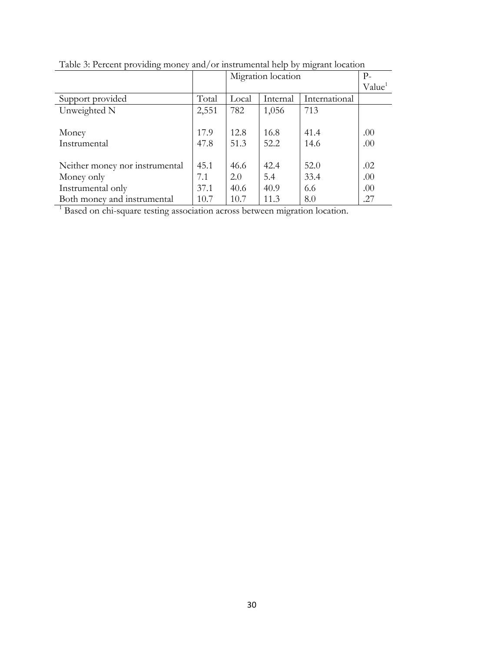|                                                                            |       | Migration location | $P-$               |               |     |  |  |  |
|----------------------------------------------------------------------------|-------|--------------------|--------------------|---------------|-----|--|--|--|
|                                                                            |       |                    | Value <sup>1</sup> |               |     |  |  |  |
| Support provided                                                           | Total | Local              | Internal           | International |     |  |  |  |
| Unweighted N                                                               | 2,551 | 782                | 1,056              | 713           |     |  |  |  |
|                                                                            |       |                    |                    |               |     |  |  |  |
| Money                                                                      | 17.9  | 12.8               | 16.8               | 41.4          | .00 |  |  |  |
| Instrumental                                                               | 47.8  | 51.3               | 52.2               | 14.6          | .00 |  |  |  |
|                                                                            |       |                    |                    |               |     |  |  |  |
| Neither money nor instrumental                                             | 45.1  | 46.6               | 42.4               | 52.0          | .02 |  |  |  |
| Money only                                                                 | 7.1   | 2.0                | 5.4                | 33.4          | .00 |  |  |  |
| Instrumental only                                                          | 37.1  | 40.6               | 40.9               | 6.6           | .00 |  |  |  |
| Both money and instrumental                                                | 10.7  | 10.7               | 11.3               | 8.0           | .27 |  |  |  |
| Based on chi-square testing association across between migration location. |       |                    |                    |               |     |  |  |  |

Table 3: Percent providing money and/or instrumental help by migrant location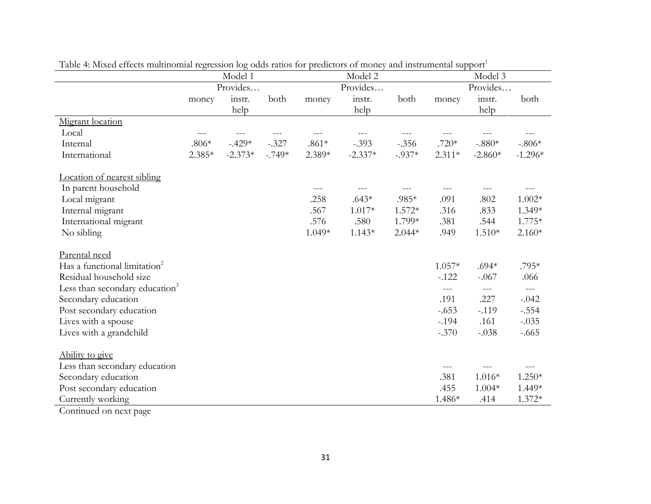|                                            | Model 1  |           |          | Model 2  |           |          | Model 3  |           |           |
|--------------------------------------------|----------|-----------|----------|----------|-----------|----------|----------|-----------|-----------|
|                                            |          | Provides  |          | Provides |           |          |          | Provides  |           |
|                                            | money    | instr.    | both     | money    | instr.    | both     | money    | instr.    | both      |
|                                            |          | help      |          |          | help      |          |          | help      |           |
| Migrant location                           |          |           |          |          |           |          |          |           |           |
| Local                                      | ---      |           |          |          |           |          |          |           |           |
| Internal                                   | $.806*$  | $-.429*$  | $-.327$  | $.861*$  | $-.393$   | $-.356$  | $.720*$  | $-.880*$  | $-.806*$  |
| International                              | $2.385*$ | $-2.373*$ | $-.749*$ | 2.389*   | $-2.337*$ | $-.937*$ | $2.311*$ | $-2.860*$ | $-1.296*$ |
| Location of nearest sibling                |          |           |          |          |           |          |          |           |           |
| In parent household                        |          |           |          | $---$    |           |          | ---      |           |           |
| Local migrant                              |          |           |          | .258     | $.643*$   | .985*    | .091     | .802      | $1.002*$  |
| Internal migrant                           |          |           |          | .567     | $1.017*$  | $1.572*$ | .316     | .833      | 1.349*    |
| International migrant                      |          |           |          | .576     | .580      | 1.799*   | .381     | .544      | $1.775*$  |
| No sibling                                 |          |           |          | 1.049*   | $1.143*$  | $2.044*$ | .949     | $1.510*$  | $2.160*$  |
| Parental need                              |          |           |          |          |           |          |          |           |           |
| Has a functional limitation <sup>2</sup>   |          |           |          |          |           |          | $1.057*$ | $.694*$   | .795*     |
| Residual household size                    |          |           |          |          |           |          | $-.122$  | $-.067$   | .066      |
| Less than secondary education <sup>3</sup> |          |           |          |          |           |          | $---$    | $---$     | $---$     |
| Secondary education                        |          |           |          |          |           |          | .191     | .227      | $-.042$   |
| Post secondary education                   |          |           |          |          |           |          | $-.653$  | $-.119$   | $-.554$   |
| Lives with a spouse                        |          |           |          |          |           |          | $-.194$  | .161      | $-.035$   |
| Lives with a grandchild                    |          |           |          |          |           |          | $-.370$  | $-.038$   | $-.665$   |
| Ability to give                            |          |           |          |          |           |          |          |           |           |
| Less than secondary education              |          |           |          |          |           |          | ---      |           |           |
| Secondary education                        |          |           |          |          |           |          | .381     | $1.016*$  | $1.250*$  |
| Post secondary education                   |          |           |          |          |           |          | .455     | $1.004*$  | 1.449*    |
| Currently working                          |          |           |          |          |           |          | 1.486*   | .414      | $1.372*$  |

Table 4: Mixed effects multinomial regression log odds ratios for predictors of money and instrumental support<sup>1</sup>

Continued on next page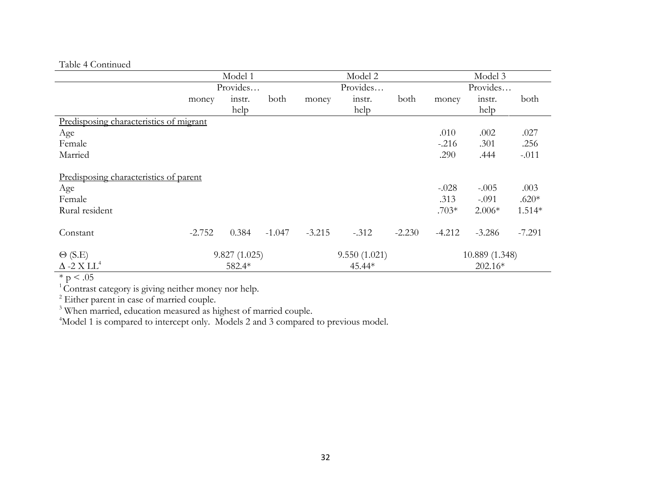# Table 4 Continued

|                                         | Model 1  |              |          | Model 2      |         |          | Model 3        |           |          |  |
|-----------------------------------------|----------|--------------|----------|--------------|---------|----------|----------------|-----------|----------|--|
|                                         | Provides |              |          | Provides     |         |          | Provides       |           |          |  |
|                                         | money    | instr.       | both     | money        | instr.  | both     | money          | instr.    | both     |  |
|                                         |          | help         |          |              | help    |          |                | help      |          |  |
| Predisposing characteristics of migrant |          |              |          |              |         |          |                |           |          |  |
| Age                                     |          |              |          |              |         |          | .010           | .002      | .027     |  |
| Female                                  |          |              |          |              |         |          | $-.216$        | .301      | .256     |  |
| Married                                 |          |              |          |              |         |          | .290           | .444      | $-.011$  |  |
| Predisposing characteristics of parent  |          |              |          |              |         |          |                |           |          |  |
| Age                                     |          |              |          |              |         |          | $-.028$        | $-.005$   | .003     |  |
| Female                                  |          |              |          |              |         |          | .313           | $-.091$   | $.620*$  |  |
| Rural resident                          |          |              |          |              |         |          | $.703*$        | $2.006*$  | $1.514*$ |  |
| Constant                                | $-2.752$ | 0.384        | $-1.047$ | $-3.215$     | $-.312$ | $-2.230$ | $-4.212$       | $-3.286$  | $-7.291$ |  |
| $\Theta$ (S.E)                          |          | 9.827(1.025) |          | 9.550(1.021) |         |          | 10.889 (1.348) |           |          |  |
| $\Delta$ -2 X LL <sup>4</sup>           |          | 582.4*       |          |              | 45.44*  |          |                | $202.16*$ |          |  |

 $\frac{2.2 \times 11}{100}$ 

 $1$ Contrast category is giving neither money nor help.

 $2$  Either parent in case of married couple.

<sup>3</sup> When married, education measured as highest of married couple.

<sup>4</sup>Model 1 is compared to intercept only. Models 2 and 3 compared to previous model.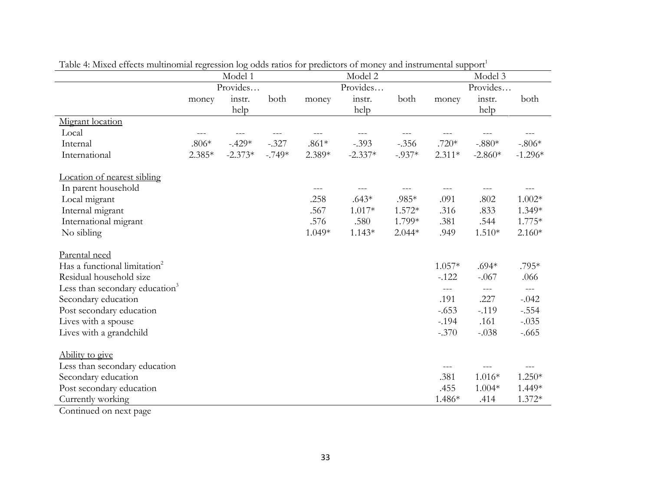|                                            | Model 1  |           |          | Model 2  |           |          | Model 3  |           |           |
|--------------------------------------------|----------|-----------|----------|----------|-----------|----------|----------|-----------|-----------|
|                                            |          | Provides  |          | Provides |           |          |          | Provides  |           |
|                                            | money    | instr.    | both     | money    | instr.    | both     | money    | instr.    | both      |
|                                            |          | help      |          |          | help      |          |          | help      |           |
| Migrant location                           |          |           |          |          |           |          |          |           |           |
| Local                                      | ---      |           |          |          |           |          |          |           |           |
| Internal                                   | $.806*$  | $-.429*$  | $-.327$  | $.861*$  | $-.393$   | $-.356$  | $.720*$  | $-.880*$  | $-.806*$  |
| International                              | $2.385*$ | $-2.373*$ | $-.749*$ | 2.389*   | $-2.337*$ | $-.937*$ | $2.311*$ | $-2.860*$ | $-1.296*$ |
| Location of nearest sibling                |          |           |          |          |           |          |          |           |           |
| In parent household                        |          |           |          | $---$    |           |          | ---      |           |           |
| Local migrant                              |          |           |          | .258     | $.643*$   | .985*    | .091     | .802      | $1.002*$  |
| Internal migrant                           |          |           |          | .567     | $1.017*$  | $1.572*$ | .316     | .833      | 1.349*    |
| International migrant                      |          |           |          | .576     | .580      | 1.799*   | .381     | .544      | $1.775*$  |
| No sibling                                 |          |           |          | 1.049*   | $1.143*$  | $2.044*$ | .949     | $1.510*$  | $2.160*$  |
| Parental need                              |          |           |          |          |           |          |          |           |           |
| Has a functional limitation <sup>2</sup>   |          |           |          |          |           |          | $1.057*$ | $.694*$   | .795*     |
| Residual household size                    |          |           |          |          |           |          | $-.122$  | $-.067$   | .066      |
| Less than secondary education <sup>3</sup> |          |           |          |          |           |          | $---$    | $---$     | $---$     |
| Secondary education                        |          |           |          |          |           |          | .191     | .227      | $-.042$   |
| Post secondary education                   |          |           |          |          |           |          | $-.653$  | $-.119$   | $-.554$   |
| Lives with a spouse                        |          |           |          |          |           |          | $-.194$  | .161      | $-.035$   |
| Lives with a grandchild                    |          |           |          |          |           |          | $-.370$  | $-.038$   | $-.665$   |
| Ability to give                            |          |           |          |          |           |          |          |           |           |
| Less than secondary education              |          |           |          |          |           |          | ---      |           |           |
| Secondary education                        |          |           |          |          |           |          | .381     | $1.016*$  | $1.250*$  |
| Post secondary education                   |          |           |          |          |           |          | .455     | $1.004*$  | 1.449*    |
| Currently working                          |          |           |          |          |           |          | 1.486*   | .414      | $1.372*$  |

Table 4: Mixed effects multinomial regression log odds ratios for predictors of money and instrumental support<sup>1</sup>

Continued on next page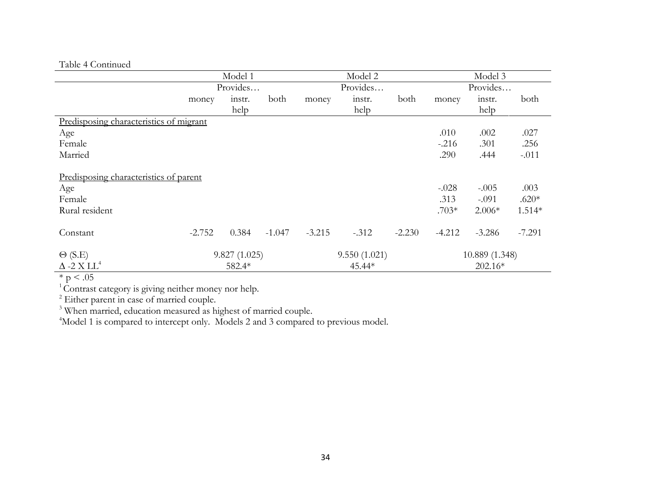# Table 4 Continued

|                                         | Model 1  |              |          | Model 2      |         |          | Model 3        |           |          |  |
|-----------------------------------------|----------|--------------|----------|--------------|---------|----------|----------------|-----------|----------|--|
|                                         | Provides |              |          | Provides     |         |          | Provides       |           |          |  |
|                                         | money    | instr.       | both     | money        | instr.  | both     | money          | instr.    | both     |  |
|                                         |          | help         |          |              | help    |          |                | help      |          |  |
| Predisposing characteristics of migrant |          |              |          |              |         |          |                |           |          |  |
| Age                                     |          |              |          |              |         |          | .010           | .002      | .027     |  |
| Female                                  |          |              |          |              |         |          | $-.216$        | .301      | .256     |  |
| Married                                 |          |              |          |              |         |          | .290           | .444      | $-.011$  |  |
| Predisposing characteristics of parent  |          |              |          |              |         |          |                |           |          |  |
| Age                                     |          |              |          |              |         |          | $-.028$        | $-.005$   | .003     |  |
| Female                                  |          |              |          |              |         |          | .313           | $-.091$   | $.620*$  |  |
| Rural resident                          |          |              |          |              |         |          | $.703*$        | $2.006*$  | $1.514*$ |  |
| Constant                                | $-2.752$ | 0.384        | $-1.047$ | $-3.215$     | $-.312$ | $-2.230$ | $-4.212$       | $-3.286$  | $-7.291$ |  |
| $\Theta$ (S.E)                          |          | 9.827(1.025) |          | 9.550(1.021) |         |          | 10.889 (1.348) |           |          |  |
| $\Delta$ -2 X LL <sup>4</sup>           |          | 582.4*       |          |              | 45.44*  |          |                | $202.16*$ |          |  |

 $\frac{2.2 \times 11}{100}$ 

 $1$ Contrast category is giving neither money nor help.

 $2$  Either parent in case of married couple.

<sup>3</sup> When married, education measured as highest of married couple.

<sup>4</sup>Model 1 is compared to intercept only. Models 2 and 3 compared to previous model.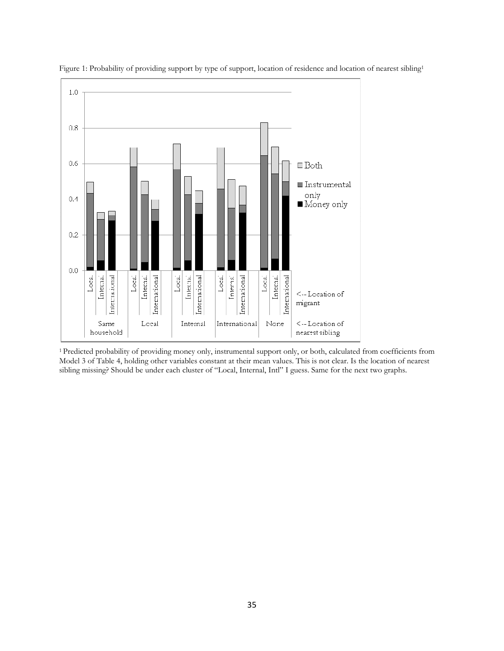

Figure 1: Probability of providing support by type of support, location of residence and location of nearest sibling<sup>1</sup>

<sup>1</sup> Predicted probability of providing money only, instrumental support only, or both, calculated from coefficients from Model 3 of Table 4, holding other variables constant at their mean values. This is not clear. Is the location of nearest sibling missing? Should be under each cluster of "Local, Internal, Intl" I guess. Same for the next two graphs.